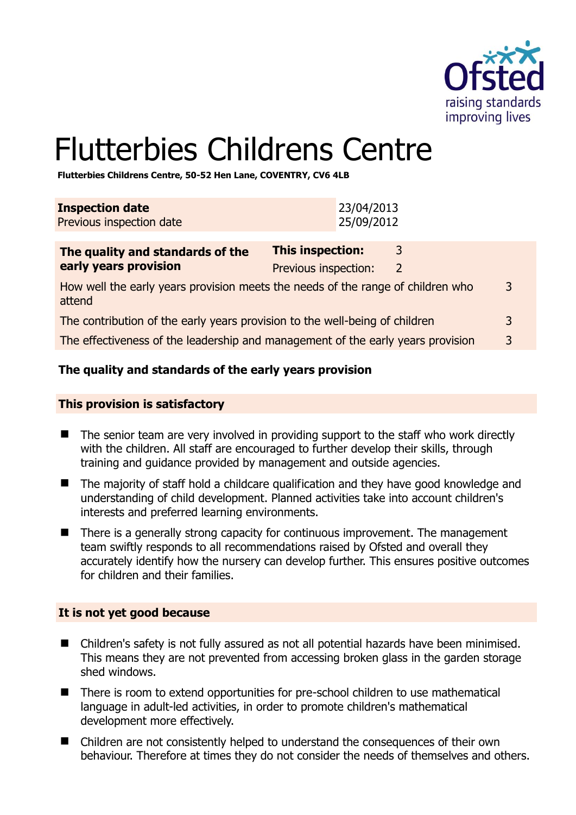

# Flutterbies Childrens Centre

**Flutterbies Childrens Centre, 50-52 Hen Lane, COVENTRY, CV6 4LB** 

| <b>Inspection date</b><br>Previous inspection date                                                                     |                         | 23/04/2013<br>25/09/2012 |                     |   |
|------------------------------------------------------------------------------------------------------------------------|-------------------------|--------------------------|---------------------|---|
| The quality and standards of the<br>early years provision                                                              | <b>This inspection:</b> |                          | 3<br>$\overline{2}$ |   |
| Previous inspection:<br>How well the early years provision meets the needs of the range of children who<br>3<br>attend |                         |                          |                     |   |
| The contribution of the early years provision to the well-being of children                                            |                         |                          |                     | 3 |
| The effectiveness of the leadership and management of the early years provision                                        |                         |                          |                     |   |
|                                                                                                                        |                         |                          |                     |   |

# **The quality and standards of the early years provision**

#### **This provision is satisfactory**

- The senior team are very involved in providing support to the staff who work directly with the children. All staff are encouraged to further develop their skills, through training and guidance provided by management and outside agencies.
- The majority of staff hold a childcare qualification and they have good knowledge and understanding of child development. Planned activities take into account children's interests and preferred learning environments.
- $\blacksquare$  There is a generally strong capacity for continuous improvement. The management team swiftly responds to all recommendations raised by Ofsted and overall they accurately identify how the nursery can develop further. This ensures positive outcomes for children and their families.

# **It is not yet good because**

- Children's safety is not fully assured as not all potential hazards have been minimised. This means they are not prevented from accessing broken glass in the garden storage shed windows.
- There is room to extend opportunities for pre-school children to use mathematical language in adult-led activities, in order to promote children's mathematical development more effectively.
- Children are not consistently helped to understand the consequences of their own behaviour. Therefore at times they do not consider the needs of themselves and others.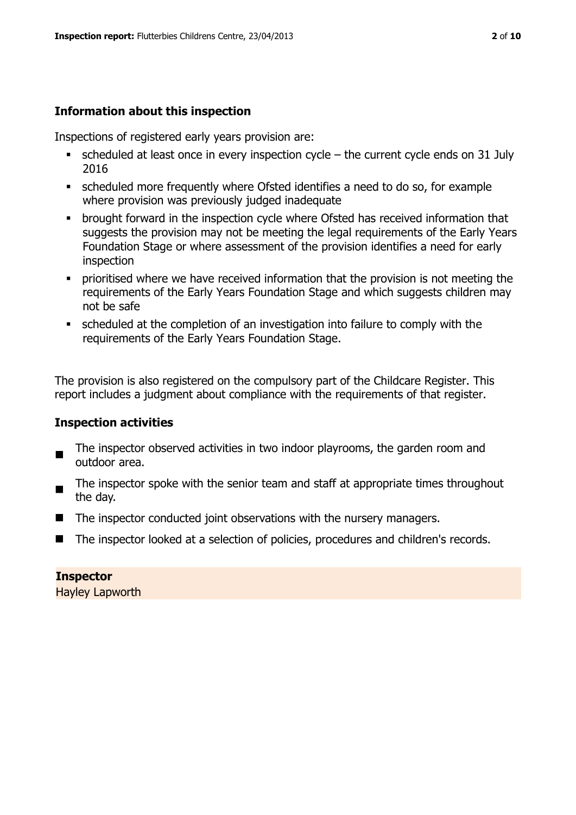# **Information about this inspection**

Inspections of registered early years provision are:

- $\bullet$  scheduled at least once in every inspection cycle the current cycle ends on 31 July 2016
- scheduled more frequently where Ofsted identifies a need to do so, for example where provision was previously judged inadequate
- brought forward in the inspection cycle where Ofsted has received information that suggests the provision may not be meeting the legal requirements of the Early Years Foundation Stage or where assessment of the provision identifies a need for early inspection
- **•** prioritised where we have received information that the provision is not meeting the requirements of the Early Years Foundation Stage and which suggests children may not be safe
- scheduled at the completion of an investigation into failure to comply with the requirements of the Early Years Foundation Stage.

The provision is also registered on the compulsory part of the Childcare Register. This report includes a judgment about compliance with the requirements of that register.

# **Inspection activities**

- The inspector observed activities in two indoor playrooms, the garden room and outdoor area.
- The inspector spoke with the senior team and staff at appropriate times throughout the day.
- $\blacksquare$  The inspector conducted joint observations with the nursery managers.
- The inspector looked at a selection of policies, procedures and children's records.

**Inspector**  Hayley Lapworth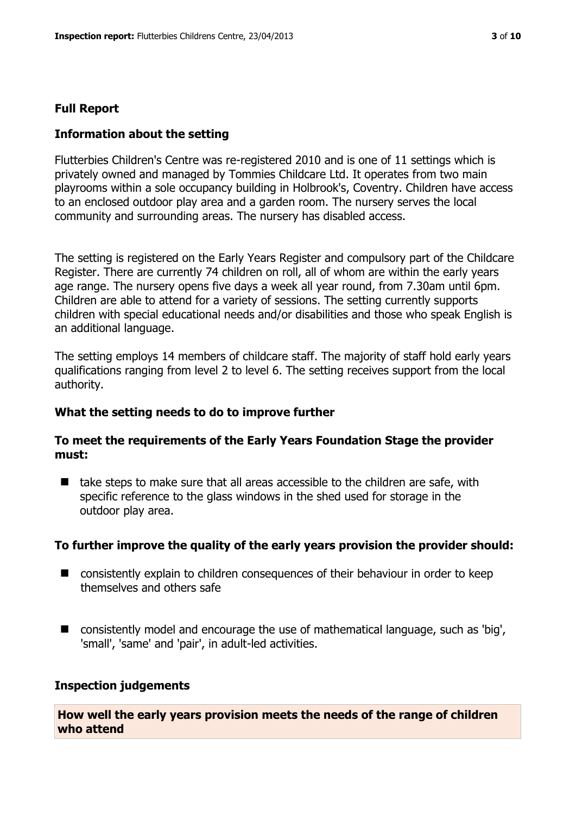#### **Full Report**

#### **Information about the setting**

Flutterbies Children's Centre was re-registered 2010 and is one of 11 settings which is privately owned and managed by Tommies Childcare Ltd. It operates from two main playrooms within a sole occupancy building in Holbrook's, Coventry. Children have access to an enclosed outdoor play area and a garden room. The nursery serves the local community and surrounding areas. The nursery has disabled access.

The setting is registered on the Early Years Register and compulsory part of the Childcare Register. There are currently 74 children on roll, all of whom are within the early years age range. The nursery opens five days a week all year round, from 7.30am until 6pm. Children are able to attend for a variety of sessions. The setting currently supports children with special educational needs and/or disabilities and those who speak English is an additional language.

The setting employs 14 members of childcare staff. The majority of staff hold early years qualifications ranging from level 2 to level 6. The setting receives support from the local authority.

#### **What the setting needs to do to improve further**

#### **To meet the requirements of the Early Years Foundation Stage the provider must:**

 $\blacksquare$  take steps to make sure that all areas accessible to the children are safe, with specific reference to the glass windows in the shed used for storage in the outdoor play area.

#### **To further improve the quality of the early years provision the provider should:**

- consistently explain to children consequences of their behaviour in order to keep themselves and others safe
- consistently model and encourage the use of mathematical language, such as 'big', 'small', 'same' and 'pair', in adult-led activities.

#### **Inspection judgements**

**How well the early years provision meets the needs of the range of children who attend**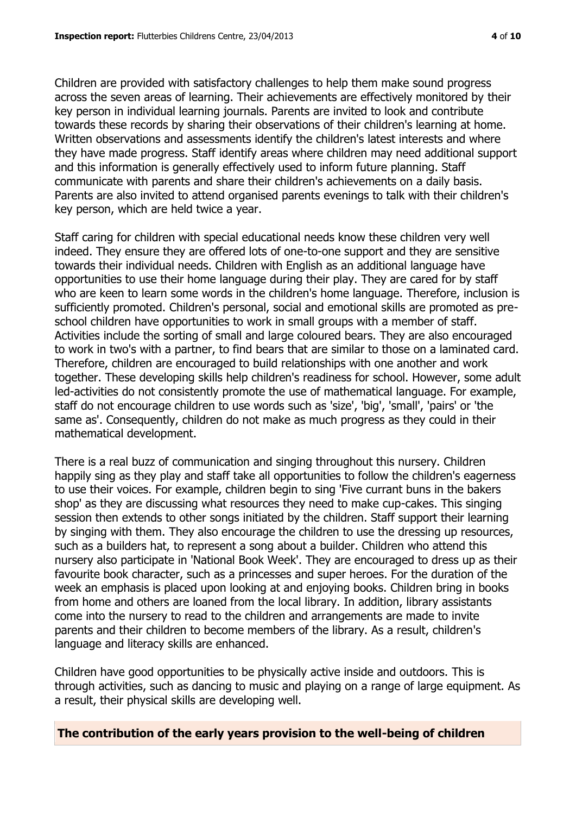Children are provided with satisfactory challenges to help them make sound progress across the seven areas of learning. Their achievements are effectively monitored by their key person in individual learning journals. Parents are invited to look and contribute towards these records by sharing their observations of their children's learning at home. Written observations and assessments identify the children's latest interests and where they have made progress. Staff identify areas where children may need additional support and this information is generally effectively used to inform future planning. Staff communicate with parents and share their children's achievements on a daily basis. Parents are also invited to attend organised parents evenings to talk with their children's key person, which are held twice a year.

Staff caring for children with special educational needs know these children very well indeed. They ensure they are offered lots of one-to-one support and they are sensitive towards their individual needs. Children with English as an additional language have opportunities to use their home language during their play. They are cared for by staff who are keen to learn some words in the children's home language. Therefore, inclusion is sufficiently promoted. Children's personal, social and emotional skills are promoted as preschool children have opportunities to work in small groups with a member of staff. Activities include the sorting of small and large coloured bears. They are also encouraged to work in two's with a partner, to find bears that are similar to those on a laminated card. Therefore, children are encouraged to build relationships with one another and work together. These developing skills help children's readiness for school. However, some adult led-activities do not consistently promote the use of mathematical language. For example, staff do not encourage children to use words such as 'size', 'big', 'small', 'pairs' or 'the same as'. Consequently, children do not make as much progress as they could in their mathematical development.

There is a real buzz of communication and singing throughout this nursery. Children happily sing as they play and staff take all opportunities to follow the children's eagerness to use their voices. For example, children begin to sing 'Five currant buns in the bakers shop' as they are discussing what resources they need to make cup-cakes. This singing session then extends to other songs initiated by the children. Staff support their learning by singing with them. They also encourage the children to use the dressing up resources, such as a builders hat, to represent a song about a builder. Children who attend this nursery also participate in 'National Book Week'. They are encouraged to dress up as their favourite book character, such as a princesses and super heroes. For the duration of the week an emphasis is placed upon looking at and enjoying books. Children bring in books from home and others are loaned from the local library. In addition, library assistants come into the nursery to read to the children and arrangements are made to invite parents and their children to become members of the library. As a result, children's language and literacy skills are enhanced.

Children have good opportunities to be physically active inside and outdoors. This is through activities, such as dancing to music and playing on a range of large equipment. As a result, their physical skills are developing well.

**The contribution of the early years provision to the well-being of children**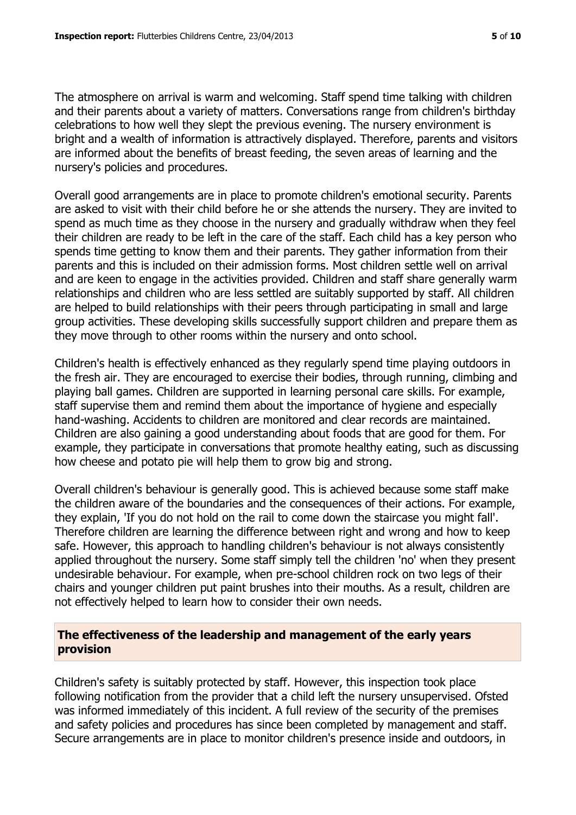The atmosphere on arrival is warm and welcoming. Staff spend time talking with children and their parents about a variety of matters. Conversations range from children's birthday celebrations to how well they slept the previous evening. The nursery environment is bright and a wealth of information is attractively displayed. Therefore, parents and visitors are informed about the benefits of breast feeding, the seven areas of learning and the nursery's policies and procedures.

Overall good arrangements are in place to promote children's emotional security. Parents are asked to visit with their child before he or she attends the nursery. They are invited to spend as much time as they choose in the nursery and gradually withdraw when they feel their children are ready to be left in the care of the staff. Each child has a key person who spends time getting to know them and their parents. They gather information from their parents and this is included on their admission forms. Most children settle well on arrival and are keen to engage in the activities provided. Children and staff share generally warm relationships and children who are less settled are suitably supported by staff. All children are helped to build relationships with their peers through participating in small and large group activities. These developing skills successfully support children and prepare them as they move through to other rooms within the nursery and onto school.

Children's health is effectively enhanced as they regularly spend time playing outdoors in the fresh air. They are encouraged to exercise their bodies, through running, climbing and playing ball games. Children are supported in learning personal care skills. For example, staff supervise them and remind them about the importance of hygiene and especially hand-washing. Accidents to children are monitored and clear records are maintained. Children are also gaining a good understanding about foods that are good for them. For example, they participate in conversations that promote healthy eating, such as discussing how cheese and potato pie will help them to grow big and strong.

Overall children's behaviour is generally good. This is achieved because some staff make the children aware of the boundaries and the consequences of their actions. For example, they explain, 'If you do not hold on the rail to come down the staircase you might fall'. Therefore children are learning the difference between right and wrong and how to keep safe. However, this approach to handling children's behaviour is not always consistently applied throughout the nursery. Some staff simply tell the children 'no' when they present undesirable behaviour. For example, when pre-school children rock on two legs of their chairs and younger children put paint brushes into their mouths. As a result, children are not effectively helped to learn how to consider their own needs.

# **The effectiveness of the leadership and management of the early years provision**

Children's safety is suitably protected by staff. However, this inspection took place following notification from the provider that a child left the nursery unsupervised. Ofsted was informed immediately of this incident. A full review of the security of the premises and safety policies and procedures has since been completed by management and staff. Secure arrangements are in place to monitor children's presence inside and outdoors, in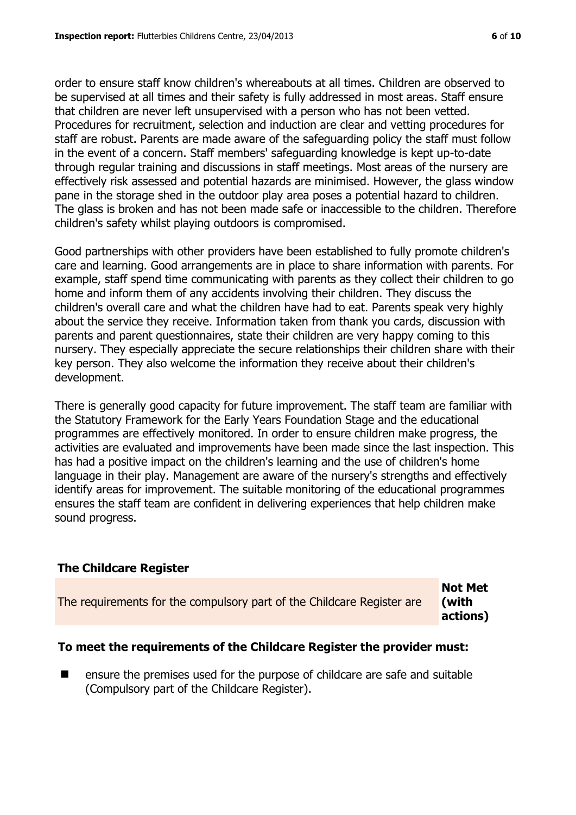order to ensure staff know children's whereabouts at all times. Children are observed to be supervised at all times and their safety is fully addressed in most areas. Staff ensure that children are never left unsupervised with a person who has not been vetted. Procedures for recruitment, selection and induction are clear and vetting procedures for staff are robust. Parents are made aware of the safeguarding policy the staff must follow in the event of a concern. Staff members' safeguarding knowledge is kept up-to-date through regular training and discussions in staff meetings. Most areas of the nursery are effectively risk assessed and potential hazards are minimised. However, the glass window pane in the storage shed in the outdoor play area poses a potential hazard to children. The glass is broken and has not been made safe or inaccessible to the children. Therefore children's safety whilst playing outdoors is compromised.

Good partnerships with other providers have been established to fully promote children's care and learning. Good arrangements are in place to share information with parents. For example, staff spend time communicating with parents as they collect their children to go home and inform them of any accidents involving their children. They discuss the children's overall care and what the children have had to eat. Parents speak very highly about the service they receive. Information taken from thank you cards, discussion with parents and parent questionnaires, state their children are very happy coming to this nursery. They especially appreciate the secure relationships their children share with their key person. They also welcome the information they receive about their children's development.

There is generally good capacity for future improvement. The staff team are familiar with the Statutory Framework for the Early Years Foundation Stage and the educational programmes are effectively monitored. In order to ensure children make progress, the activities are evaluated and improvements have been made since the last inspection. This has had a positive impact on the children's learning and the use of children's home language in their play. Management are aware of the nursery's strengths and effectively identify areas for improvement. The suitable monitoring of the educational programmes ensures the staff team are confident in delivering experiences that help children make sound progress.

# **The Childcare Register**

|                                                                        | <b>Not Met</b> |
|------------------------------------------------------------------------|----------------|
| The requirements for the compulsory part of the Childcare Register are | (with          |
|                                                                        | actions)       |

# **To meet the requirements of the Childcare Register the provider must:**

**EXECUTE:** ensure the premises used for the purpose of childcare are safe and suitable (Compulsory part of the Childcare Register).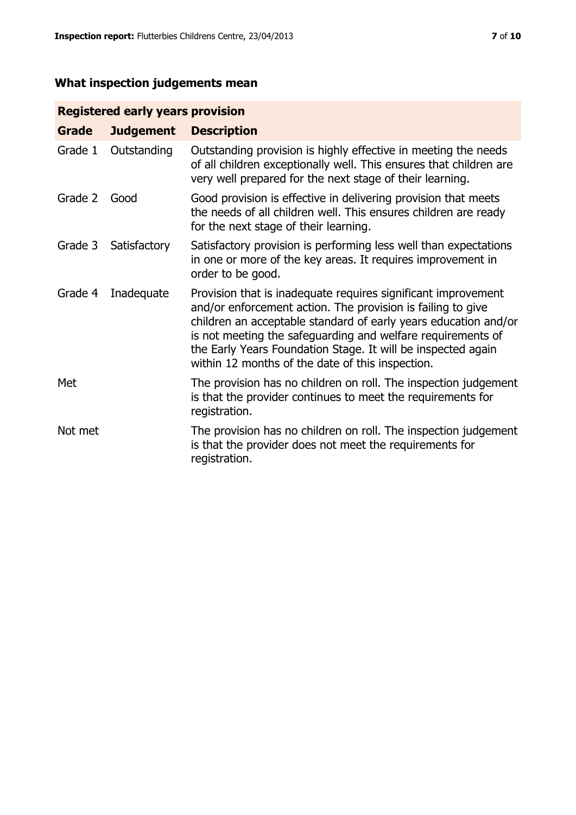# **What inspection judgements mean**

# **Registered early years provision**

| Grade   | <b>Judgement</b> | <b>Description</b>                                                                                                                                                                                                                                                                                                                                                                 |
|---------|------------------|------------------------------------------------------------------------------------------------------------------------------------------------------------------------------------------------------------------------------------------------------------------------------------------------------------------------------------------------------------------------------------|
| Grade 1 | Outstanding      | Outstanding provision is highly effective in meeting the needs<br>of all children exceptionally well. This ensures that children are<br>very well prepared for the next stage of their learning.                                                                                                                                                                                   |
| Grade 2 | Good             | Good provision is effective in delivering provision that meets<br>the needs of all children well. This ensures children are ready<br>for the next stage of their learning.                                                                                                                                                                                                         |
| Grade 3 | Satisfactory     | Satisfactory provision is performing less well than expectations<br>in one or more of the key areas. It requires improvement in<br>order to be good.                                                                                                                                                                                                                               |
| Grade 4 | Inadequate       | Provision that is inadequate requires significant improvement<br>and/or enforcement action. The provision is failing to give<br>children an acceptable standard of early years education and/or<br>is not meeting the safeguarding and welfare requirements of<br>the Early Years Foundation Stage. It will be inspected again<br>within 12 months of the date of this inspection. |
| Met     |                  | The provision has no children on roll. The inspection judgement<br>is that the provider continues to meet the requirements for<br>registration.                                                                                                                                                                                                                                    |
| Not met |                  | The provision has no children on roll. The inspection judgement<br>is that the provider does not meet the requirements for<br>registration.                                                                                                                                                                                                                                        |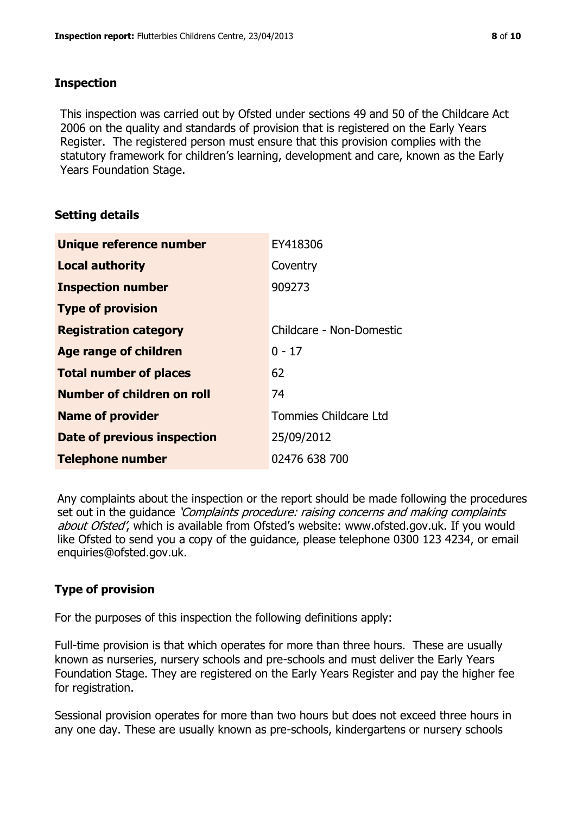# **Inspection**

This inspection was carried out by Ofsted under sections 49 and 50 of the Childcare Act 2006 on the quality and standards of provision that is registered on the Early Years Register. The registered person must ensure that this provision complies with the statutory framework for children's learning, development and care, known as the Early Years Foundation Stage.

# **Setting details**

| Unique reference number       | EY418306                 |
|-------------------------------|--------------------------|
| <b>Local authority</b>        | Coventry                 |
| <b>Inspection number</b>      | 909273                   |
| <b>Type of provision</b>      |                          |
| <b>Registration category</b>  | Childcare - Non-Domestic |
| <b>Age range of children</b>  | $0 - 17$                 |
| <b>Total number of places</b> | 62                       |
| Number of children on roll    | 74                       |
| <b>Name of provider</b>       | Tommies Childcare Ltd    |
| Date of previous inspection   | 25/09/2012               |
| <b>Telephone number</b>       | 02476 638 700            |

Any complaints about the inspection or the report should be made following the procedures set out in the guidance *'Complaints procedure: raising concerns and making complaints* about Ofsted', which is available from Ofsted's website: www.ofsted.gov.uk. If you would like Ofsted to send you a copy of the guidance, please telephone 0300 123 4234, or email enquiries@ofsted.gov.uk.

# **Type of provision**

For the purposes of this inspection the following definitions apply:

Full-time provision is that which operates for more than three hours. These are usually known as nurseries, nursery schools and pre-schools and must deliver the Early Years Foundation Stage. They are registered on the Early Years Register and pay the higher fee for registration.

Sessional provision operates for more than two hours but does not exceed three hours in any one day. These are usually known as pre-schools, kindergartens or nursery schools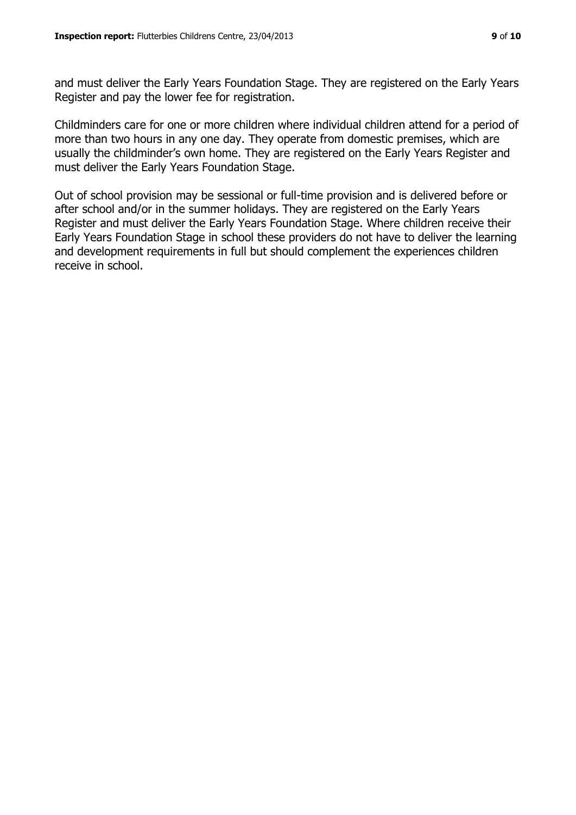and must deliver the Early Years Foundation Stage. They are registered on the Early Years Register and pay the lower fee for registration.

Childminders care for one or more children where individual children attend for a period of more than two hours in any one day. They operate from domestic premises, which are usually the childminder's own home. They are registered on the Early Years Register and must deliver the Early Years Foundation Stage.

Out of school provision may be sessional or full-time provision and is delivered before or after school and/or in the summer holidays. They are registered on the Early Years Register and must deliver the Early Years Foundation Stage. Where children receive their Early Years Foundation Stage in school these providers do not have to deliver the learning and development requirements in full but should complement the experiences children receive in school.